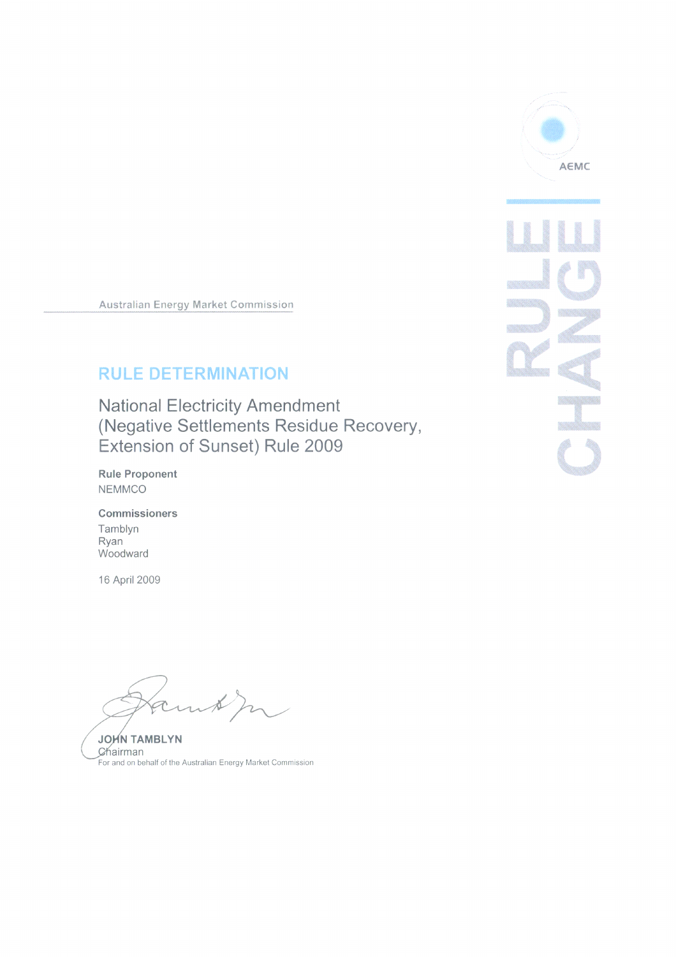

**Australian Energy Market Commission** 

# **RULE DETERMINATION**

**National Electricity Amendment** (Negative Settlements Residue Recovery, Extension of Sunset) Rule 2009

**Rule Proponent NEMMCO** 

**Commissioners** Tamblyn Ryan Woodward

16 April 2009

**JOHN TAMBLYN** Chairman For and on behalf of the Australian Energy Market Commission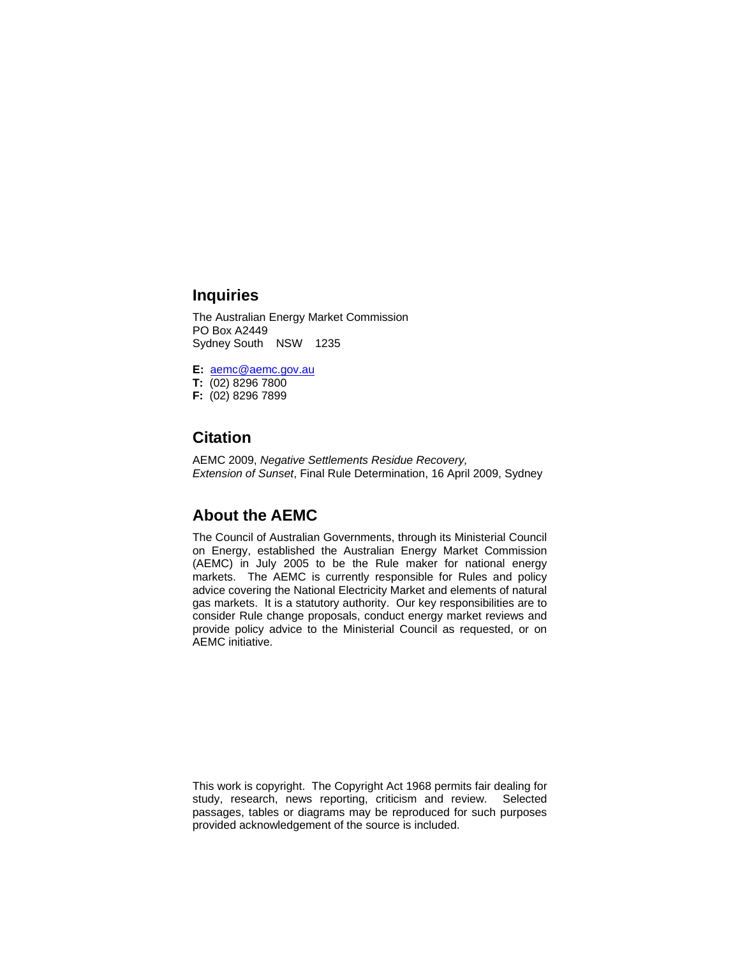## **Inquiries**

The Australian Energy Market Commission PO Box A2449 Sydney South NSW 1235

**E:** aemc@aemc.gov.au

**T:** (02) 8296 7800 **F:** (02) 8296 7899

## **Citation**

AEMC 2009, *Negative Settlements Residue Recovery, Extension of Sunset*, Final Rule Determination, 16 April 2009, Sydney

## **About the AEMC**

The Council of Australian Governments, through its Ministerial Council on Energy, established the Australian Energy Market Commission (AEMC) in July 2005 to be the Rule maker for national energy markets. The AEMC is currently responsible for Rules and policy advice covering the National Electricity Market and elements of natural gas markets. It is a statutory authority. Our key responsibilities are to consider Rule change proposals, conduct energy market reviews and provide policy advice to the Ministerial Council as requested, or on AEMC initiative.

This work is copyright. The Copyright Act 1968 permits fair dealing for study, research, news reporting, criticism and review. Selected passages, tables or diagrams may be reproduced for such purposes provided acknowledgement of the source is included.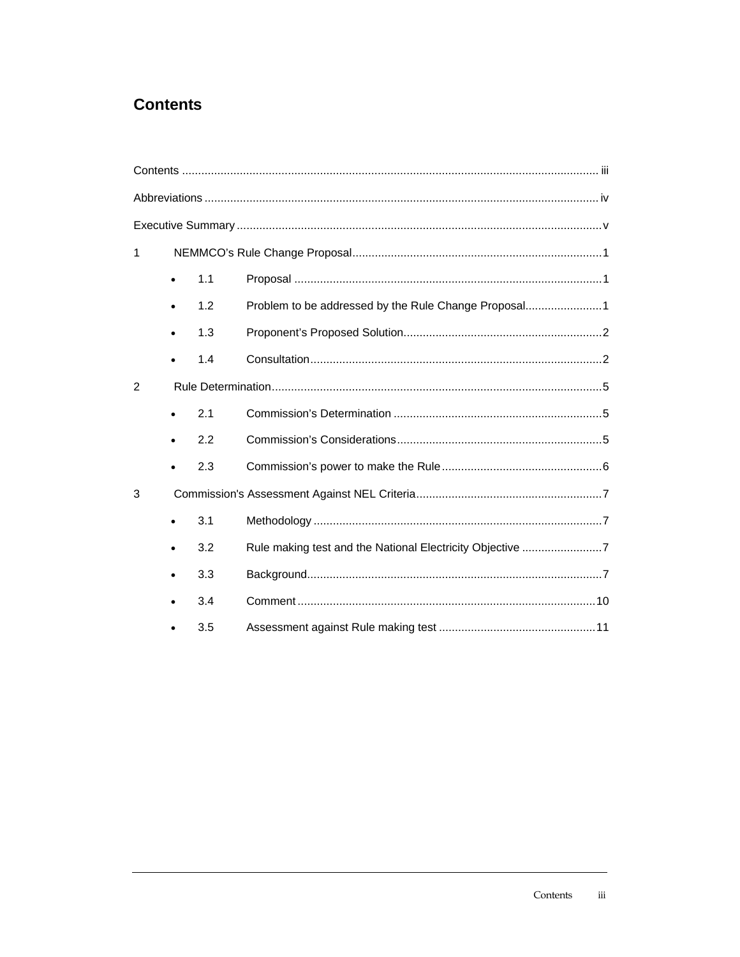## **Contents**

| 1              |  |     |                                                      |  |
|----------------|--|-----|------------------------------------------------------|--|
|                |  | 1.1 |                                                      |  |
|                |  | 1.2 | Problem to be addressed by the Rule Change Proposal1 |  |
|                |  | 1.3 |                                                      |  |
|                |  | 1.4 |                                                      |  |
| $\overline{2}$ |  |     |                                                      |  |
|                |  | 2.1 |                                                      |  |
|                |  | 2.2 |                                                      |  |
|                |  | 2.3 |                                                      |  |
| 3              |  |     |                                                      |  |
|                |  | 3.1 |                                                      |  |
|                |  | 3.2 |                                                      |  |
|                |  | 3.3 |                                                      |  |
|                |  | 3.4 |                                                      |  |
|                |  | 3.5 |                                                      |  |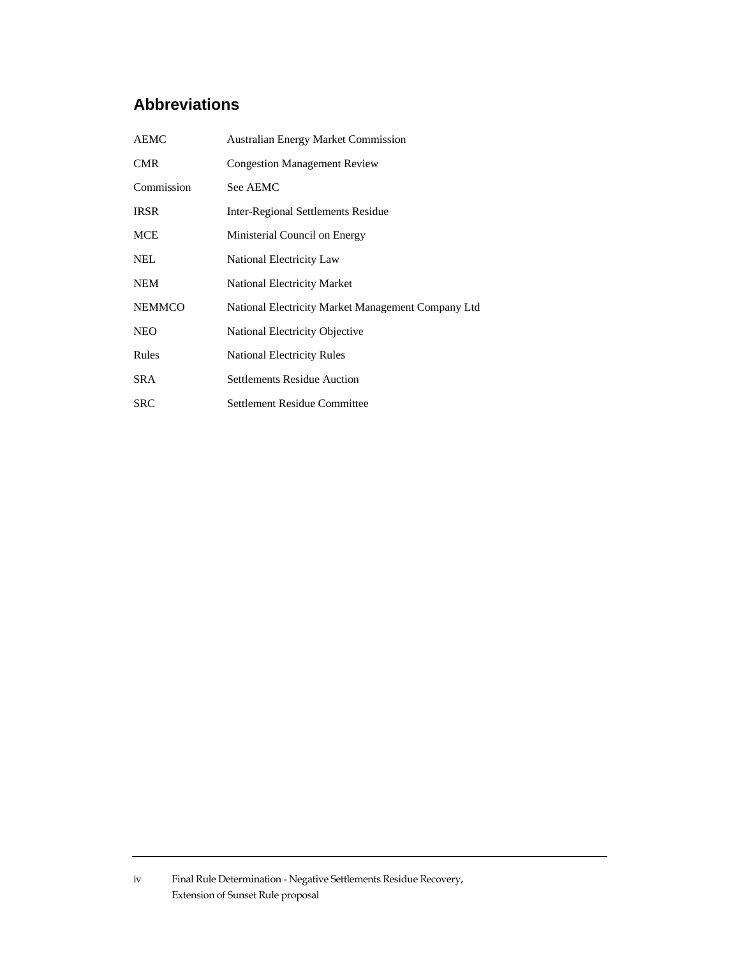# **Abbreviations**

| <b>AEMC</b>   | <b>Australian Energy Market Commission</b>         |
|---------------|----------------------------------------------------|
| <b>CMR</b>    | <b>Congestion Management Review</b>                |
| Commission    | See AEMC                                           |
| <b>IRSR</b>   | Inter-Regional Settlements Residue                 |
| <b>MCE</b>    | Ministerial Council on Energy                      |
| <b>NEL</b>    | National Electricity Law                           |
| <b>NEM</b>    | <b>National Electricity Market</b>                 |
| <b>NEMMCO</b> | National Electricity Market Management Company Ltd |
| <b>NEO</b>    | <b>National Electricity Objective</b>              |
| Rules         | <b>National Electricity Rules</b>                  |
| SR A          | <b>Settlements Residue Auction</b>                 |
| <b>SRC</b>    | Settlement Residue Committee                       |

iv Final Rule Determination - Negative Settlements Residue Recovery, Extension of Sunset Rule proposal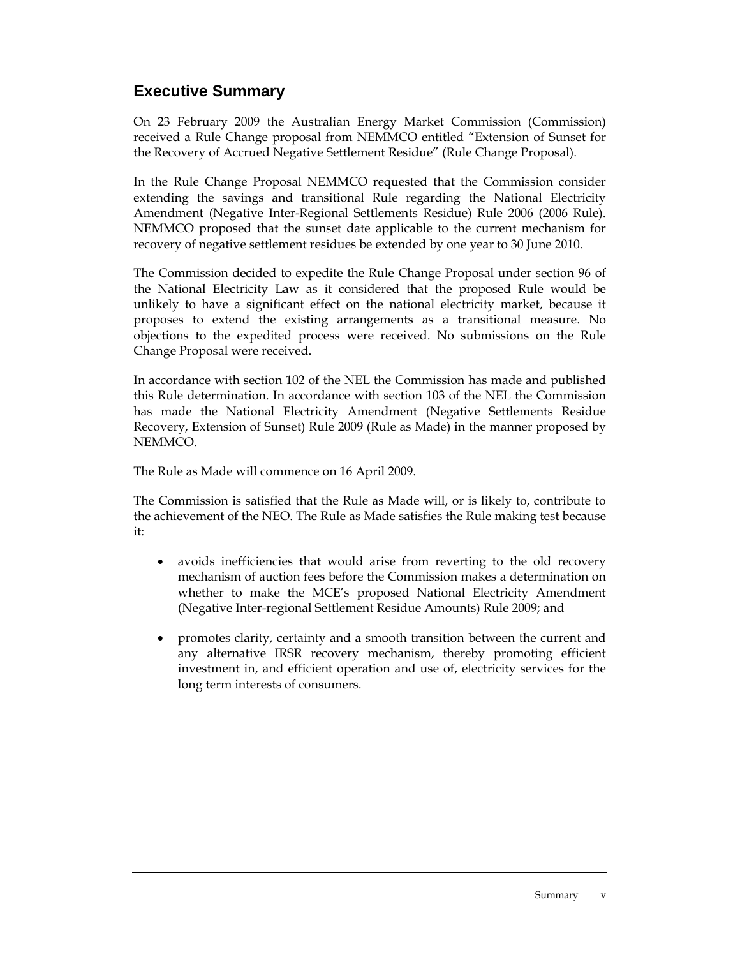## **Executive Summary**

On 23 February 2009 the Australian Energy Market Commission (Commission) received a Rule Change proposal from NEMMCO entitled "Extension of Sunset for the Recovery of Accrued Negative Settlement Residue" (Rule Change Proposal).

In the Rule Change Proposal NEMMCO requested that the Commission consider extending the savings and transitional Rule regarding the National Electricity Amendment (Negative Inter-Regional Settlements Residue) Rule 2006 (2006 Rule). NEMMCO proposed that the sunset date applicable to the current mechanism for recovery of negative settlement residues be extended by one year to 30 June 2010.

The Commission decided to expedite the Rule Change Proposal under section 96 of the National Electricity Law as it considered that the proposed Rule would be unlikely to have a significant effect on the national electricity market, because it proposes to extend the existing arrangements as a transitional measure. No objections to the expedited process were received. No submissions on the Rule Change Proposal were received.

In accordance with section 102 of the NEL the Commission has made and published this Rule determination. In accordance with section 103 of the NEL the Commission has made the National Electricity Amendment (Negative Settlements Residue Recovery, Extension of Sunset) Rule 2009 (Rule as Made) in the manner proposed by NEMMCO.

The Rule as Made will commence on 16 April 2009.

The Commission is satisfied that the Rule as Made will, or is likely to, contribute to the achievement of the NEO. The Rule as Made satisfies the Rule making test because it:

- avoids inefficiencies that would arise from reverting to the old recovery mechanism of auction fees before the Commission makes a determination on whether to make the MCE's proposed National Electricity Amendment (Negative Inter-regional Settlement Residue Amounts) Rule 2009; and
- promotes clarity, certainty and a smooth transition between the current and any alternative IRSR recovery mechanism, thereby promoting efficient investment in, and efficient operation and use of, electricity services for the long term interests of consumers.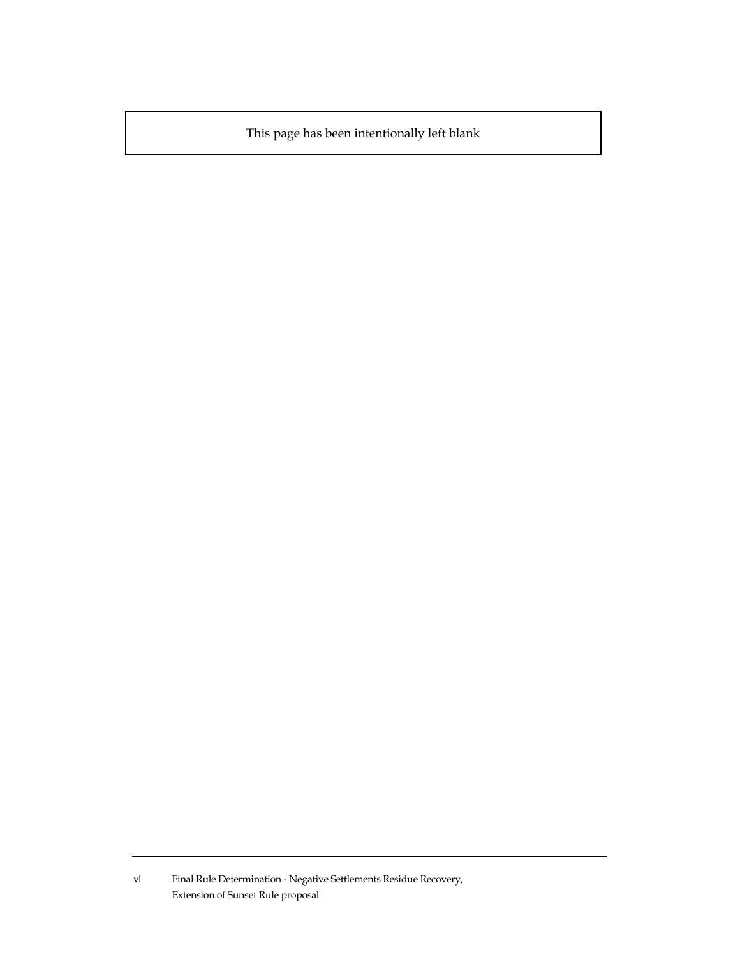This page has been intentionally left blank

vi Final Rule Determination - Negative Settlements Residue Recovery, Extension of Sunset Rule proposal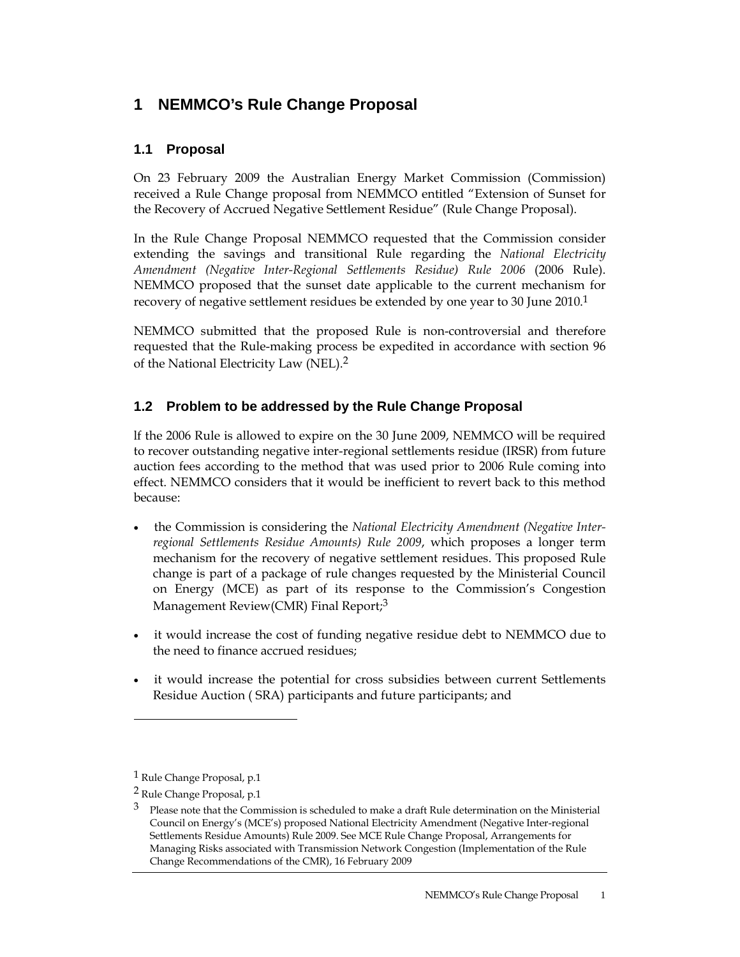## **1 NEMMCO's Rule Change Proposal**

#### **1.1 Proposal**

On 23 February 2009 the Australian Energy Market Commission (Commission) received a Rule Change proposal from NEMMCO entitled "Extension of Sunset for the Recovery of Accrued Negative Settlement Residue" (Rule Change Proposal).

In the Rule Change Proposal NEMMCO requested that the Commission consider extending the savings and transitional Rule regarding the *National Electricity Amendment (Negative Inter-Regional Settlements Residue) Rule 2006* (2006 Rule). NEMMCO proposed that the sunset date applicable to the current mechanism for recovery of negative settlement residues be extended by one year to 30 June 2010.<sup>1</sup>

NEMMCO submitted that the proposed Rule is non-controversial and therefore requested that the Rule-making process be expedited in accordance with section 96 of the National Electricity Law (NEL).2

#### **1.2 Problem to be addressed by the Rule Change Proposal**

lf the 2006 Rule is allowed to expire on the 30 June 2009, NEMMCO will be required to recover outstanding negative inter-regional settlements residue (IRSR) from future auction fees according to the method that was used prior to 2006 Rule coming into effect. NEMMCO considers that it would be inefficient to revert back to this method because:

- the Commission is considering the *National Electricity Amendment (Negative Interregional Settlements Residue Amounts) Rule 2009*, which proposes a longer term mechanism for the recovery of negative settlement residues. This proposed Rule change is part of a package of rule changes requested by the Ministerial Council on Energy (MCE) as part of its response to the Commission's Congestion Management Review(CMR) Final Report;<sup>3</sup>
- it would increase the cost of funding negative residue debt to NEMMCO due to the need to finance accrued residues;
- it would increase the potential for cross subsidies between current Settlements Residue Auction ( SRA) participants and future participants; and

<sup>1</sup> Rule Change Proposal, p.1

<sup>2</sup> Rule Change Proposal, p.1

 $3$  Please note that the Commission is scheduled to make a draft Rule determination on the Ministerial Council on Energy's (MCE's) proposed National Electricity Amendment (Negative Inter-regional Settlements Residue Amounts) Rule 2009. See MCE Rule Change Proposal, Arrangements for Managing Risks associated with Transmission Network Congestion (Implementation of the Rule Change Recommendations of the CMR), 16 February 2009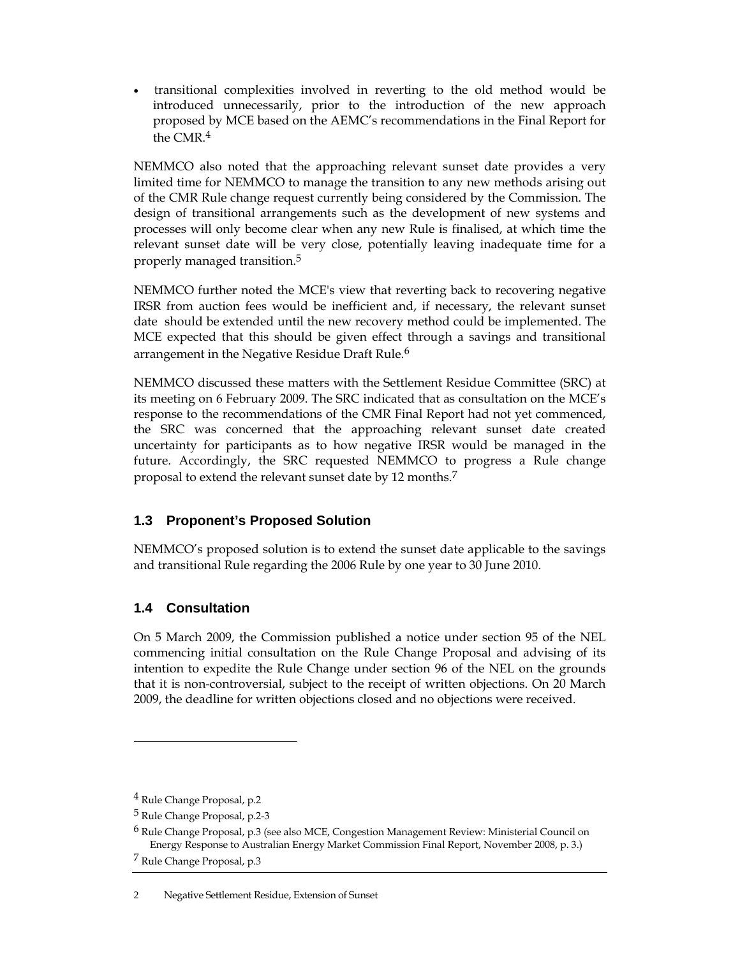• transitional complexities involved in reverting to the old method would be introduced unnecessarily, prior to the introduction of the new approach proposed by MCE based on the AEMC's recommendations in the Final Report for the CMR.4

NEMMCO also noted that the approaching relevant sunset date provides a very limited time for NEMMCO to manage the transition to any new methods arising out of the CMR Rule change request currently being considered by the Commission. The design of transitional arrangements such as the development of new systems and processes will only become clear when any new Rule is finalised, at which time the relevant sunset date will be very close, potentially leaving inadequate time for a properly managed transition.5

NEMMCO further noted the MCE's view that reverting back to recovering negative IRSR from auction fees would be inefficient and, if necessary, the relevant sunset date should be extended until the new recovery method could be implemented. The MCE expected that this should be given effect through a savings and transitional arrangement in the Negative Residue Draft Rule.<sup>6</sup>

NEMMCO discussed these matters with the Settlement Residue Committee (SRC) at its meeting on 6 February 2009. The SRC indicated that as consultation on the MCE's response to the recommendations of the CMR Final Report had not yet commenced, the SRC was concerned that the approaching relevant sunset date created uncertainty for participants as to how negative IRSR would be managed in the future. Accordingly, the SRC requested NEMMCO to progress a Rule change proposal to extend the relevant sunset date by 12 months.7

### **1.3 Proponent's Proposed Solution**

NEMMCO's proposed solution is to extend the sunset date applicable to the savings and transitional Rule regarding the 2006 Rule by one year to 30 June 2010.

## **1.4 Consultation**

On 5 March 2009, the Commission published a notice under section 95 of the NEL commencing initial consultation on the Rule Change Proposal and advising of its intention to expedite the Rule Change under section 96 of the NEL on the grounds that it is non-controversial, subject to the receipt of written objections. On 20 March 2009, the deadline for written objections closed and no objections were received.

<sup>4</sup> Rule Change Proposal, p.2

<sup>5</sup> Rule Change Proposal, p.2-3

<sup>6</sup> Rule Change Proposal, p.3 (see also MCE, Congestion Management Review: Ministerial Council on Energy Response to Australian Energy Market Commission Final Report, November 2008, p. 3.)

<sup>7</sup> Rule Change Proposal, p.3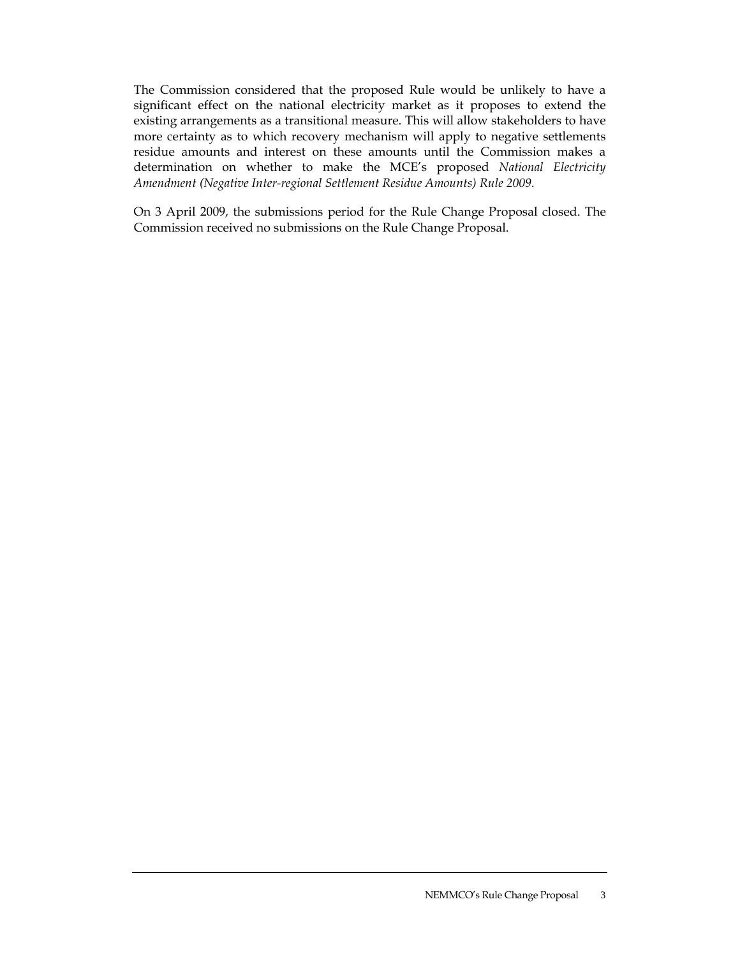The Commission considered that the proposed Rule would be unlikely to have a significant effect on the national electricity market as it proposes to extend the existing arrangements as a transitional measure. This will allow stakeholders to have more certainty as to which recovery mechanism will apply to negative settlements residue amounts and interest on these amounts until the Commission makes a determination on whether to make the MCE's proposed *National Electricity Amendment (Negative Inter-regional Settlement Residue Amounts) Rule 2009*.

On 3 April 2009, the submissions period for the Rule Change Proposal closed. The Commission received no submissions on the Rule Change Proposal.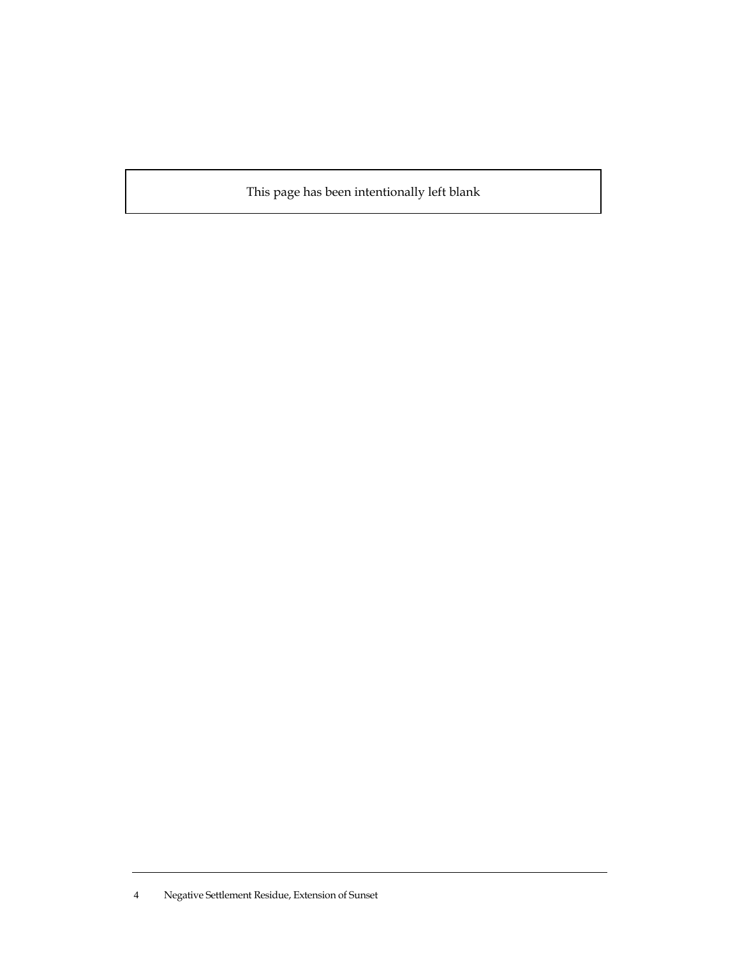This page has been intentionally left blank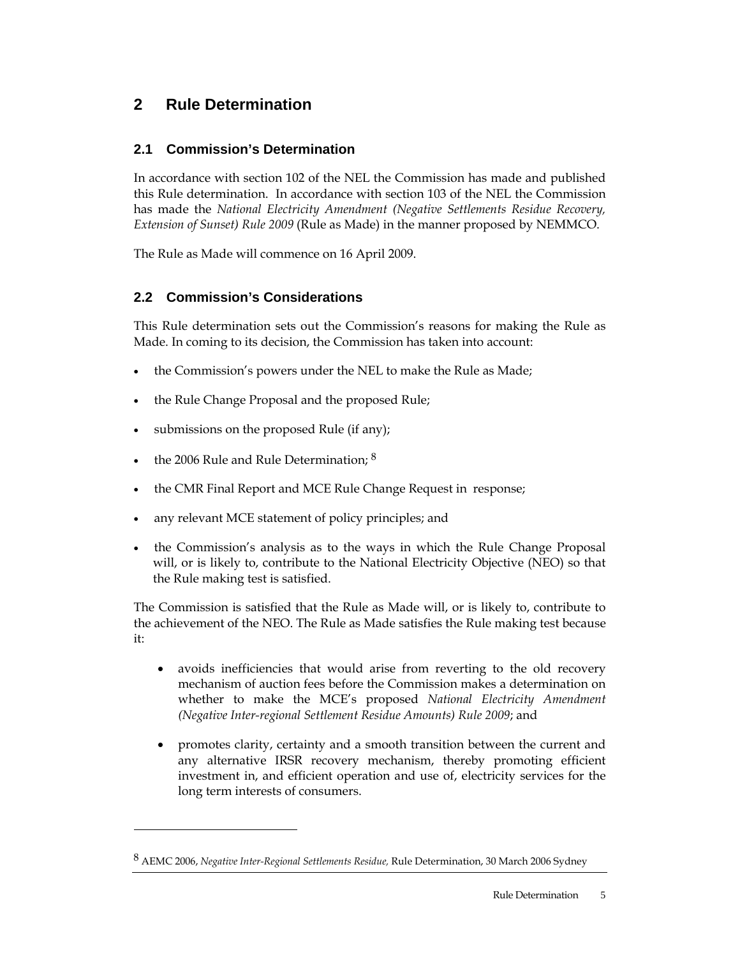# **2 Rule Determination**

### **2.1 Commission's Determination**

In accordance with section 102 of the NEL the Commission has made and published this Rule determination. In accordance with section 103 of the NEL the Commission has made the *National Electricity Amendment (Negative Settlements Residue Recovery, Extension of Sunset) Rule 2009* (Rule as Made) in the manner proposed by NEMMCO.

The Rule as Made will commence on 16 April 2009.

## **2.2 Commission's Considerations**

This Rule determination sets out the Commission's reasons for making the Rule as Made. In coming to its decision, the Commission has taken into account:

- the Commission's powers under the NEL to make the Rule as Made;
- the Rule Change Proposal and the proposed Rule;
- submissions on the proposed Rule (if any);
- the 2006 Rule and Rule Determination;  $8$

 $\overline{a}$ 

- the CMR Final Report and MCE Rule Change Request in response;
- any relevant MCE statement of policy principles; and
- the Commission's analysis as to the ways in which the Rule Change Proposal will, or is likely to, contribute to the National Electricity Objective (NEO) so that the Rule making test is satisfied.

The Commission is satisfied that the Rule as Made will, or is likely to, contribute to the achievement of the NEO. The Rule as Made satisfies the Rule making test because it:

- avoids inefficiencies that would arise from reverting to the old recovery mechanism of auction fees before the Commission makes a determination on whether to make the MCE's proposed *National Electricity Amendment (Negative Inter-regional Settlement Residue Amounts) Rule 2009*; and
- promotes clarity, certainty and a smooth transition between the current and any alternative IRSR recovery mechanism, thereby promoting efficient investment in, and efficient operation and use of, electricity services for the long term interests of consumers.

<sup>8</sup> AEMC 2006, *Negative Inter-Regional Settlements Residue,* Rule Determination, 30 March 2006 Sydney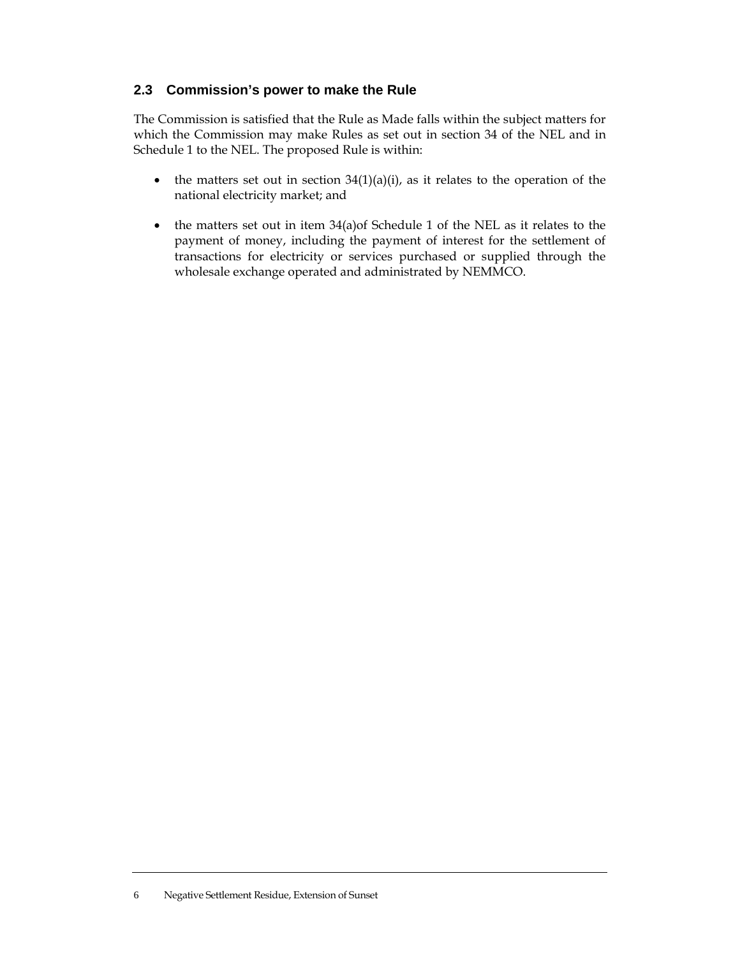### **2.3 Commission's power to make the Rule**

The Commission is satisfied that the Rule as Made falls within the subject matters for which the Commission may make Rules as set out in section 34 of the NEL and in Schedule 1 to the NEL. The proposed Rule is within:

- the matters set out in section  $34(1)(a)(i)$ , as it relates to the operation of the national electricity market; and
- the matters set out in item 34(a)of Schedule 1 of the NEL as it relates to the payment of money, including the payment of interest for the settlement of transactions for electricity or services purchased or supplied through the wholesale exchange operated and administrated by NEMMCO.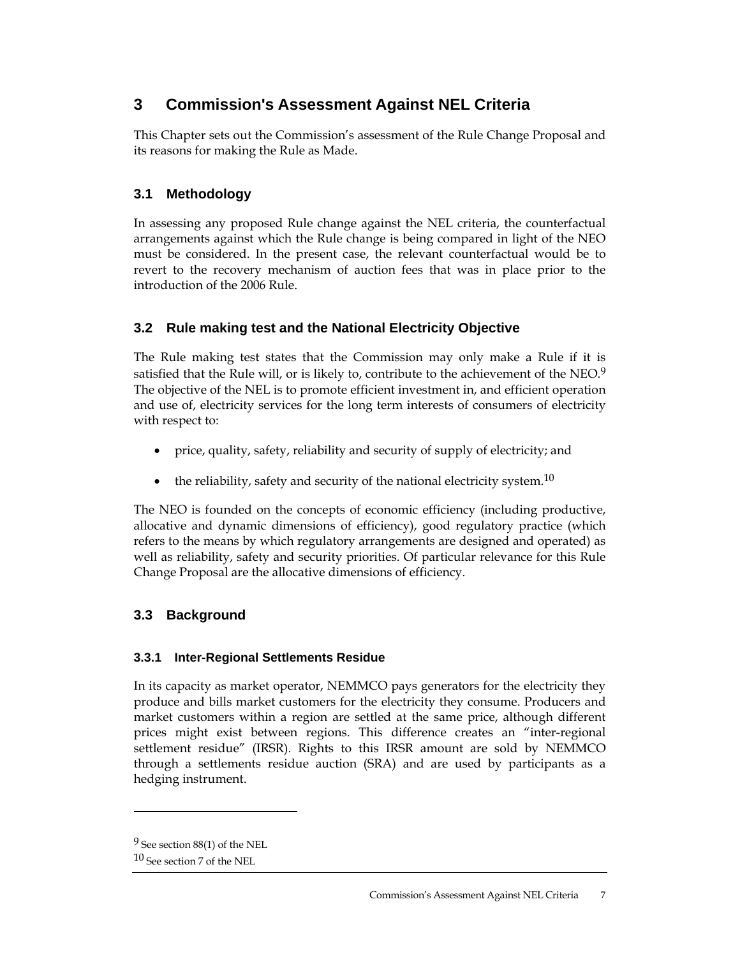# **3 Commission's Assessment Against NEL Criteria**

This Chapter sets out the Commission's assessment of the Rule Change Proposal and its reasons for making the Rule as Made.

## **3.1 Methodology**

In assessing any proposed Rule change against the NEL criteria, the counterfactual arrangements against which the Rule change is being compared in light of the NEO must be considered. In the present case, the relevant counterfactual would be to revert to the recovery mechanism of auction fees that was in place prior to the introduction of the 2006 Rule.

## **3.2 Rule making test and the National Electricity Objective**

The Rule making test states that the Commission may only make a Rule if it is satisfied that the Rule will, or is likely to, contribute to the achievement of the NEO.<sup>9</sup> The objective of the NEL is to promote efficient investment in, and efficient operation and use of, electricity services for the long term interests of consumers of electricity with respect to:

- price, quality, safety, reliability and security of supply of electricity; and
- the reliability, safety and security of the national electricity system.<sup>10</sup>

The NEO is founded on the concepts of economic efficiency (including productive, allocative and dynamic dimensions of efficiency), good regulatory practice (which refers to the means by which regulatory arrangements are designed and operated) as well as reliability, safety and security priorities. Of particular relevance for this Rule Change Proposal are the allocative dimensions of efficiency.

## **3.3 Background**

#### **3.3.1 Inter-Regional Settlements Residue**

In its capacity as market operator, NEMMCO pays generators for the electricity they produce and bills market customers for the electricity they consume. Producers and market customers within a region are settled at the same price, although different prices might exist between regions. This difference creates an "inter-regional settlement residue" (IRSR). Rights to this IRSR amount are sold by NEMMCO through a settlements residue auction (SRA) and are used by participants as a hedging instrument.

 $\overline{a}$ 

<sup>9</sup> See section 88(1) of the NEL

<sup>10</sup> See section 7 of the NEL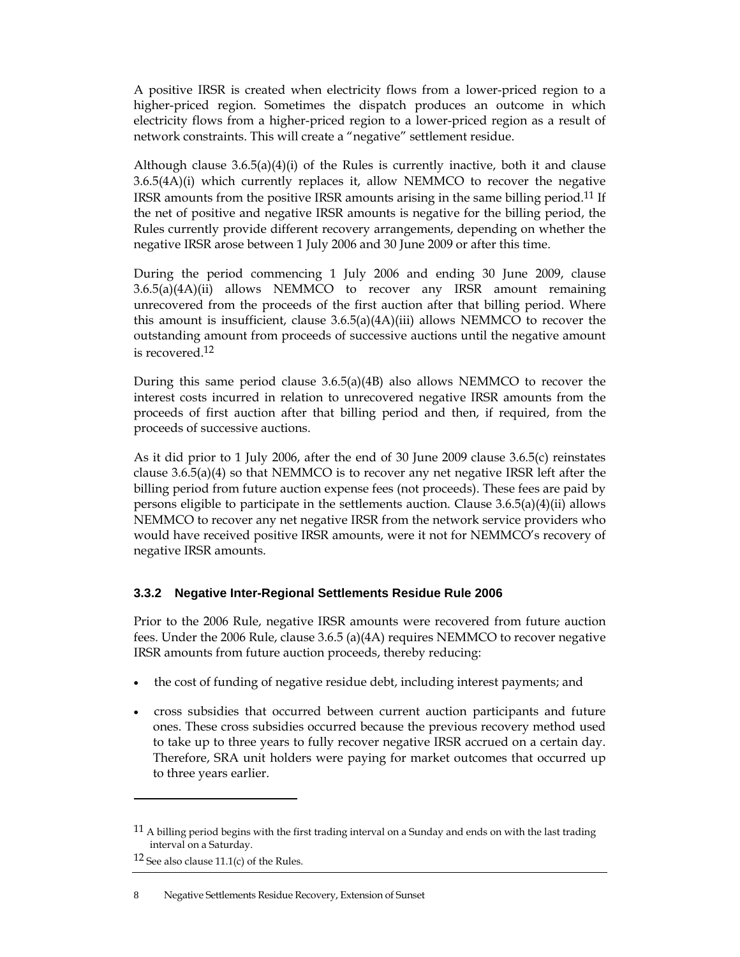A positive IRSR is created when electricity flows from a lower-priced region to a higher-priced region. Sometimes the dispatch produces an outcome in which electricity flows from a higher-priced region to a lower-priced region as a result of network constraints. This will create a "negative" settlement residue.

Although clause  $3.6.5(a)(4)(i)$  of the Rules is currently inactive, both it and clause  $3.6.5(4A)(i)$  which currently replaces it, allow NEMMCO to recover the negative IRSR amounts from the positive IRSR amounts arising in the same billing period.11 If the net of positive and negative IRSR amounts is negative for the billing period, the Rules currently provide different recovery arrangements, depending on whether the negative IRSR arose between 1 July 2006 and 30 June 2009 or after this time.

During the period commencing 1 July 2006 and ending 30 June 2009, clause 3.6.5(a)(4A)(ii) allows NEMMCO to recover any IRSR amount remaining unrecovered from the proceeds of the first auction after that billing period. Where this amount is insufficient, clause 3.6.5(a)(4A)(iii) allows NEMMCO to recover the outstanding amount from proceeds of successive auctions until the negative amount is recovered.12

During this same period clause  $3.6.5(a)(4B)$  also allows NEMMCO to recover the interest costs incurred in relation to unrecovered negative IRSR amounts from the proceeds of first auction after that billing period and then, if required, from the proceeds of successive auctions.

As it did prior to 1 July 2006, after the end of 30 June 2009 clause 3.6.5(c) reinstates clause  $3.6.5(a)(4)$  so that NEMMCO is to recover any net negative IRSR left after the billing period from future auction expense fees (not proceeds). These fees are paid by persons eligible to participate in the settlements auction. Clause  $3.6.5(a)(4)(ii)$  allows NEMMCO to recover any net negative IRSR from the network service providers who would have received positive IRSR amounts, were it not for NEMMCO's recovery of negative IRSR amounts.

#### **3.3.2 Negative Inter-Regional Settlements Residue Rule 2006**

Prior to the 2006 Rule, negative IRSR amounts were recovered from future auction fees. Under the 2006 Rule, clause 3.6.5 (a)(4A) requires NEMMCO to recover negative IRSR amounts from future auction proceeds, thereby reducing:

- the cost of funding of negative residue debt, including interest payments; and
- cross subsidies that occurred between current auction participants and future ones. These cross subsidies occurred because the previous recovery method used to take up to three years to fully recover negative IRSR accrued on a certain day. Therefore, SRA unit holders were paying for market outcomes that occurred up to three years earlier.

 $\overline{a}$ 

 $11$  A billing period begins with the first trading interval on a Sunday and ends on with the last trading interval on a Saturday.

 $12$  See also clause 11.1(c) of the Rules.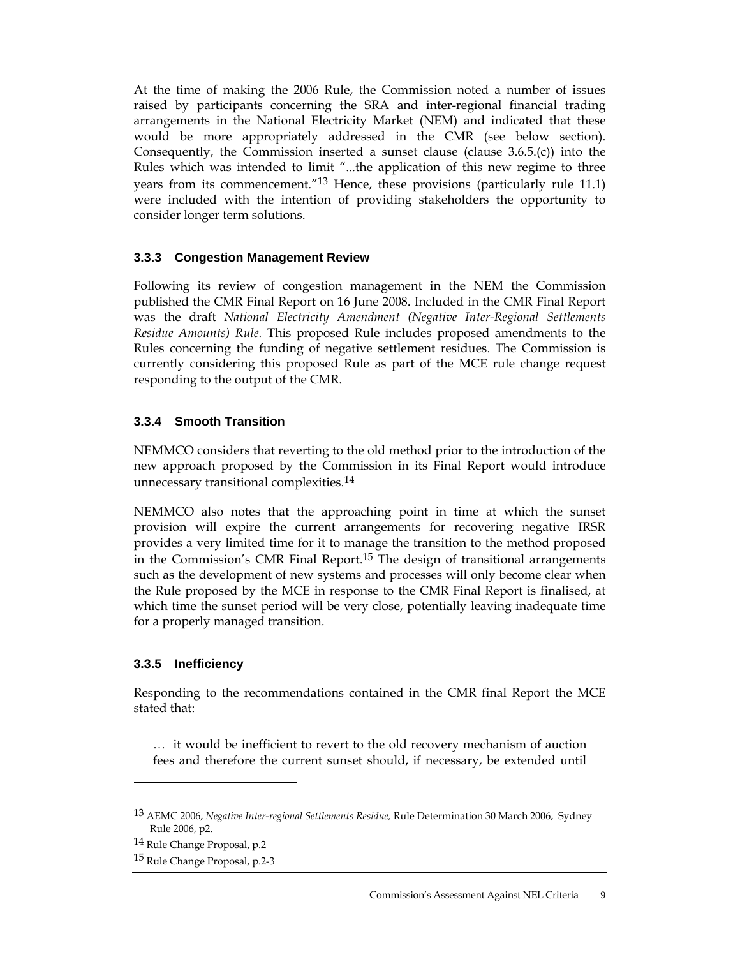At the time of making the 2006 Rule, the Commission noted a number of issues raised by participants concerning the SRA and inter-regional financial trading arrangements in the National Electricity Market (NEM) and indicated that these would be more appropriately addressed in the CMR (see below section). Consequently, the Commission inserted a sunset clause (clause 3.6.5.(c)) into the Rules which was intended to limit "...the application of this new regime to three years from its commencement."<sup>13</sup> Hence, these provisions (particularly rule 11.1) were included with the intention of providing stakeholders the opportunity to consider longer term solutions.

#### **3.3.3 Congestion Management Review**

Following its review of congestion management in the NEM the Commission published the CMR Final Report on 16 June 2008. Included in the CMR Final Report was the draft *National Electricity Amendment (Negative Inter-Regional Settlements Residue Amounts) Rule.* This proposed Rule includes proposed amendments to the Rules concerning the funding of negative settlement residues. The Commission is currently considering this proposed Rule as part of the MCE rule change request responding to the output of the CMR.

#### **3.3.4 Smooth Transition**

NEMMCO considers that reverting to the old method prior to the introduction of the new approach proposed by the Commission in its Final Report would introduce unnecessary transitional complexities.14

NEMMCO also notes that the approaching point in time at which the sunset provision will expire the current arrangements for recovering negative IRSR provides a very limited time for it to manage the transition to the method proposed in the Commission's CMR Final Report.<sup>15</sup> The design of transitional arrangements such as the development of new systems and processes will only become clear when the Rule proposed by the MCE in response to the CMR Final Report is finalised, at which time the sunset period will be very close, potentially leaving inadequate time for a properly managed transition.

#### **3.3.5 Inefficiency**

Responding to the recommendations contained in the CMR final Report the MCE stated that:

… it would be inefficient to revert to the old recovery mechanism of auction fees and therefore the current sunset should, if necessary, be extended until

<sup>13</sup> AEMC 2006, *Negative Inter-regional Settlements Residue,* Rule Determination 30 March 2006, Sydney Rule 2006, p2.

<sup>14</sup> Rule Change Proposal, p.2

<sup>15</sup> Rule Change Proposal, p.2-3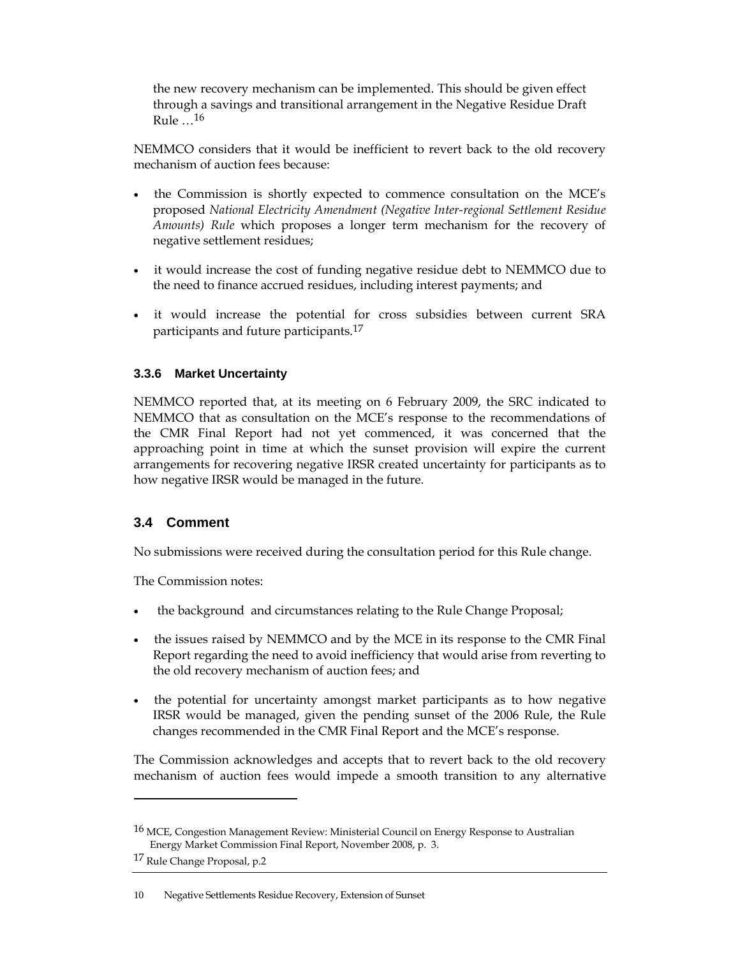the new recovery mechanism can be implemented. This should be given effect through a savings and transitional arrangement in the Negative Residue Draft Rule …16

NEMMCO considers that it would be inefficient to revert back to the old recovery mechanism of auction fees because:

- the Commission is shortly expected to commence consultation on the MCE's proposed *National Electricity Amendment (Negative Inter-regional Settlement Residue Amounts) Rule* which proposes a longer term mechanism for the recovery of negative settlement residues;
- it would increase the cost of funding negative residue debt to NEMMCO due to the need to finance accrued residues, including interest payments; and
- it would increase the potential for cross subsidies between current SRA participants and future participants.17

#### **3.3.6 Market Uncertainty**

NEMMCO reported that, at its meeting on 6 February 2009, the SRC indicated to NEMMCO that as consultation on the MCE's response to the recommendations of the CMR Final Report had not yet commenced, it was concerned that the approaching point in time at which the sunset provision will expire the current arrangements for recovering negative IRSR created uncertainty for participants as to how negative IRSR would be managed in the future.

#### **3.4 Comment**

No submissions were received during the consultation period for this Rule change.

The Commission notes:

- the background and circumstances relating to the Rule Change Proposal;
- the issues raised by NEMMCO and by the MCE in its response to the CMR Final Report regarding the need to avoid inefficiency that would arise from reverting to the old recovery mechanism of auction fees; and
- the potential for uncertainty amongst market participants as to how negative IRSR would be managed, given the pending sunset of the 2006 Rule, the Rule changes recommended in the CMR Final Report and the MCE's response.

The Commission acknowledges and accepts that to revert back to the old recovery mechanism of auction fees would impede a smooth transition to any alternative

 $\overline{a}$ 

<sup>16</sup> MCE, Congestion Management Review: Ministerial Council on Energy Response to Australian Energy Market Commission Final Report, November 2008, p. 3.

<sup>17</sup> Rule Change Proposal, p.2